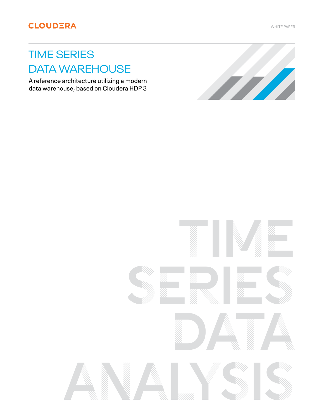WHITE PAPER

# TIME SERIES DATA WAREHOUSE

A reference architecture utilizing a modern data warehouse, based on Cloudera HDP 3

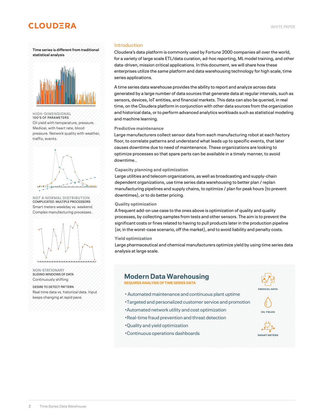<span id="page-1-0"></span>**Time series is different from traditional statistical analysis**



**HIGH-DIMENSIONAL** 100'S OF PARAMETERS Oil yield with temperature, pressure. Medical, with heart rate, blood pressure. Network quality with weather, traffic, events.



**NOT A NORMAL DISTRIBUTION** COMPLICATED. MULTIPLE PROCESSORS Smart meters weekday vs. weekend. Complex manufacturing processes.



**NON-STATIONARY** SLIDING WINDOWS OF DATA Continuously shifting

DESIRE TO DETECT PATTERN Real time data vs. historical data. Input keeps changing at rapid pace.

### Introduction

Cloudera's data platform is commonly used by Fortune 2000 companies all over the world, for a variety of large scale ETL/data curation, ad-hoc reporting, ML model training, and other data-driven, mission critical applications. In this document, we will share how these enterprises utilize the same platform and data warehousing technology for high scale, time series applications.

A time series data warehouse provides the ability to report and analyze across data generated by a large number of data sources that generate data at regular intervals, such as sensors, devices, IoT entities, and financial markets. This data can also be queried, in real time, on the Cloudera platform in conjunction with other data sources from the organization and historical data, or to perform advanced analytics workloads such as statistical modeling and machine learning.

### **Predictive maintenance**

Large manufacturers collect sensor data from each manufacturing robot at each factory floor, to correlate patterns and understand what leads up to specific events, that later causes downtime due to need of maintenance. These organizations are looking to optimize processes so that spare parts can be available in a timely manner, to avoid downtime..

#### **Capacity planning and optimization**

Large utilities and telecom organizations, as well as broadcasting and supply-chain dependent organizations, use time series data warehousing to better plan / replan manufacturing pipelines and supply chains, to optimize / plan for peak hours (to prevent downtimes), or to do better pricing.

### **Quality optimization**

A frequent add-on use case to the ones above is optimization of quality and quality processes, by collecting samples from tests and other sensors. The aim is to prevent the significant costs or fines related to having to pull products later in the production pipeline (or, in the worst-case scenario, off the market), and to avoid liability and penalty costs.

#### **Yield optimization**

Large pharmaceutical and chemical manufacturers optimize yield by using time series data analysis at large scale.

### **Modern Data Warehousing**

**REQUIRES ANALYSIS OF TIME SERIES DATA**

- Automated maintenance and continuous plant uptime
- •Targeted and personalized customer service and promotion
- •Automated network utility and cost optimization
- •Real-time fraud prevention and threat detection
- •Quality and yield optimization
- •Continuous operations dashboards





**OIL YIELDS**

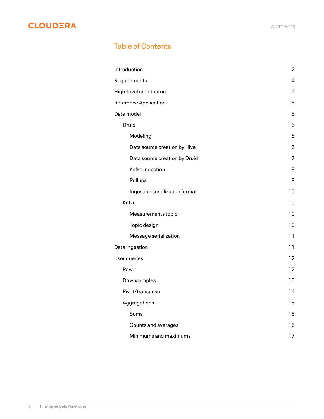# Table of Contents

| Introduction                   | $\boldsymbol{2}$ |
|--------------------------------|------------------|
| Requirements                   | 4                |
| High-level architecture        | 4                |
| <b>Reference Application</b>   | 5                |
| Data model                     | 5                |
| Druid                          | 6                |
| Modeling                       | 6                |
| Data source creation by Hive   | 6                |
| Data source creation by Druid  | 7                |
| Kafka ingestion                | 8                |
| Rollups                        | 9                |
| Ingestion serialization format | 10               |
| Kafka                          | 10               |
| Measurements topic             | 10               |
| Topic design                   | 10               |
| Message serialization          | 11               |
| Data ingestion                 | 11               |
| User queries                   | 12               |
| Raw                            | 12               |
| Downsamples                    | 13               |
| Pivot/transpose                | 14               |
| Aggregations                   | 16               |
| Sums                           | 16               |
| Counts and averages            | 16               |
| Minimums and maximums          | 17               |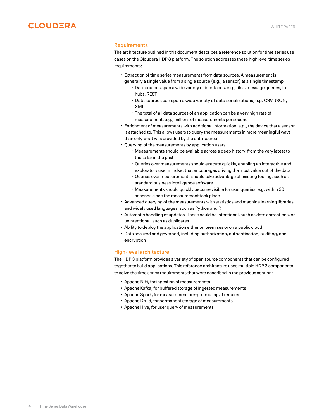<span id="page-3-0"></span>

### **Requirements**

The architecture outlined in this document describes a reference solution for time series use cases on the Cloudera HDP 3 platform. The solution addresses these high level time series requirements:

- Extraction of time series measurements from data sources. A measurement is generally a single value from a single source (e.g., a sensor) at a single timestamp
	- Data sources span a wide variety of interfaces, e.g., files, message queues, IoT hubs, REST
	- Data sources can span a wide variety of data serializations, e.g. CSV, JSON, XML
	- The total of all data sources of an application can be a very high rate of measurement, e.g., millions of measurements per second
- Enrichment of measurements with additional information, e.g., the device that a sensor is attached to. This allows users to query the measurements in more meaningful ways than only what was provided by the data source
- Querying of the measurements by application users
	- Measurements should be available across a deep history, from the very latest to those far in the past
	- Queries over measurements should execute quickly, enabling an interactive and exploratory user mindset that encourages driving the most value out of the data
	- Queries over measurements should take advantage of existing tooling, such as standard business intelligence software
	- Measurements should quickly become visible for user queries, e.g. within 30 seconds since the measurement took place
- Advanced querying of the measurements with statistics and machine learning libraries, and widely used languages, such as Python and R
- Automatic handling of updates. These could be intentional, such as data corrections, or unintentional, such as duplicates
- Ability to deploy the application either on premises or on a public cloud
- Data secured and governed, including authorization, authentication, auditing, and encryption

### **High-level architecture**

The HDP 3 platform provides a variety of open source components that can be configured together to build applications. This reference architecture uses multiple HDP 3 components to solve the time series requirements that were described in the previous section:

- Apache NiFi, for ingestion of measurements
- Apache Kafka, for buffered storage of ingested measurements
- Apache Spark, for measurement pre-processing, if required
- Apache Druid, for permanent storage of measurements
- Apache Hive, for user query of measurements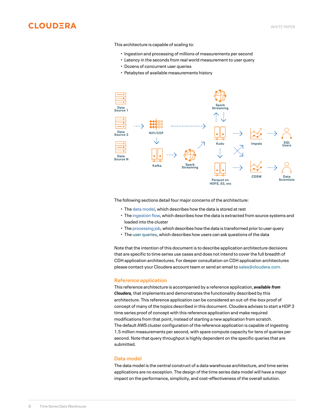<span id="page-4-0"></span>

This architecture is capable of scaling to:

- Ingestion and processing of millions of measurements per second
- Latency in the seconds from real world measurement to user query
- Dozens of concurrent user queries
- Petabytes of available measurements history



The following sections detail four major concerns of the architecture:

- The [data model,](#page-5-0) which describes how the data is stored at rest
- The [ingestion flow](#page-10-0), which describes how the data is extracted from source systems and loaded into the cluster
- The [processing job](#page-1-0), which describes how the data is transformed prior to user query
- The [user queries](#page-11-0), which describes how users can ask questions of the data

Note that the intention of this document is to describe application architecture decisions that are specific to time series use cases and does not intend to cover the full breadth of CDH application architectures. For deeper consultation on CDH application architectures please contact your Cloudera account team or send an email to [sales@cloudera.com.](mailto:sales@cloudera.com)

#### **Reference application**

This reference architecture is accompanied by a reference application, *available from Cloudera,* that implements and demonstrates the functionality described by this architecture. This reference application can be considered an out-of-the-box proof of concept of many of the topics described in this document. Cloudera advises to start a HDP 3 time series proof of concept with this reference application and make required modifications from that point, instead of starting a new application from scratch. The default AWS cluster configuration of the reference application is capable of ingesting 1.5 million measurements per second, with spare compute capacity for tens of queries per second. Note that query throughput is highly dependent on the specific queries that are submitted.

### **Data model**

The data model is the central construct of a data warehouse architecture, and time series applications are no exception. The design of the time series data model will have a major impact on the performance, simplicity, and cost-effectiveness of the overall solution.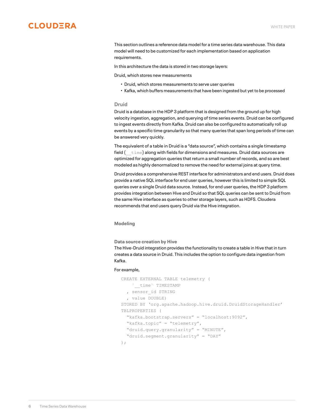<span id="page-5-0"></span>This section outlines a reference data model for a time series data warehouse. This data model will need to be customized for each implementation based on application requirements.

In this architecture the data is stored in two storage layers:

Druid, which stores new measurements

- Druid, which stores measurements to serve user queries
- Kafka, which buffers measurements that have been ingested but yet to be processed

### **Druid**

Druid is a database in the HDP 3 platform that is designed from the ground up for high velocity ingestion, aggregation, and querying of time series events. Druid can be configured to ingest events directly from Kafka. Druid can also be configured to automatically roll up events by a specific time granularity so that many queries that span long periods of time can be answered very quickly.

The equivalent of a table in Druid is a "data source", which contains a single timestamp field  $($   $\pm$   $\text{time})$  along with fields for dimensions and measures. Druid data sources are optimized for aggregation queries that return a small number of records, and so are best modeled as highly denormalized to remove the need for external joins at query time.

Druid provides a comprehensive REST interface for administrators and end users. Druid does provide a native SQL interface for end user queries, however this is limited to simple SQL queries over a single Druid data source. Instead, for end user queries, the HDP 3 platform provides integration between Hive and Druid so that SQL queries can be sent to Druid from the same Hive interface as queries to other storage layers, such as HDFS. Cloudera recommends that end users query Druid via the Hive integration.

### **Modeling**

**Data source creation by Hive**

The Hive-Druid integration provides the functionality to create a table in Hive that in turn creates a data source in Druid. This includes the option to configure data ingestion from Kafka.

### For example,

```
CREATE EXTERNAL TABLE telemetry (
     `__time` TIMESTAMP
   , sensor_id STRING
   , value DOUBLE)
STORED BY 'org.apache.hadoop.hive.druid.DruidStorageHandler'
TBLPROPERTIES (
  "kafka.bootstrap.servers" = "localhost:9092",
  "kafka.topic" = "telemetry",
   "druid.query.granularity" = "MINUTE",
   "druid.segment.granularity" = "DAY"
);
```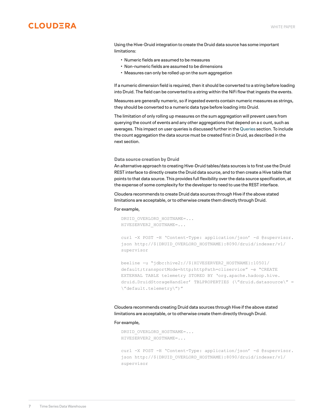Using the Hive-Druid integration to create the Druid data source has some important limitations:

- Numeric fields are assumed to be measures
- Non-numeric fields are assumed to be dimensions
- Measures can only be rolled up on the sum aggregation

If a numeric dimension field is required, then it should be converted to a string before loading into Druid. The field can be converted to a string within the NiFi flow that ingests the events.

Measures are generally numeric, so if ingested events contain numeric measures as strings, they should be converted to a numeric data type before loading into Druid.

The limitation of only rolling up measures on the sum aggregation will prevent users from querying the count of events and any other aggregations that depend on a c ount, such as averages. This impact on user queries is discussed further in the Queries section. To include the count aggregation the data source must be created first in Druid, as described in the next section.

### **Data source creation by Druid**

An alternative approach to creating Hive-Druid tables/data sources is to first use the Druid REST interface to directly create the Druid data source, and to then create a Hive table that points to that data source. This provides full flexibility over the data source specification, at the expense of some complexity for the developer to need to use the REST interface.

Cloudera recommends to create Druid data sources through Hive if the above stated limitations are acceptable, or to otherwise create them directly through Druid.

### For example,

DRUID\_OVERLORD\_HOSTNAME=... HIVESERVER2\_HOSTNAME=...

curl -X POST -H 'Content-Type: application/json' -d @supervisor. json http://\${DRUID\_OVERLORD\_HOSTNAME}:8090/druid/indexer/v1/ supervisor

beeline -u "jdbc:hive2://\${HIVESERVER2\_HOSTNAME}:10501/ default;transportMode=http;httpPath=cliservice" -e "CREATE EXTERNAL TABLE telemetry STORED BY 'org.apache.hadoop.hive. druid.DruidStorageHandler' TBLPROPERTIES (\"druid.datasource\" = \"default.telemetry\")"

Cloudera recommends creating Druid data sources through Hive if the above stated limitations are acceptable, or to otherwise create them directly through Druid.

### For example,

```
DRUID_OVERLORD_HOSTNAME=...
HIVESERVER2_HOSTNAME=...
```
curl -X POST -H 'Content-Type: application/json' -d @supervisor. json http://\${DRUID\_OVERLORD\_HOSTNAME}:8090/druid/indexer/v1/ supervisor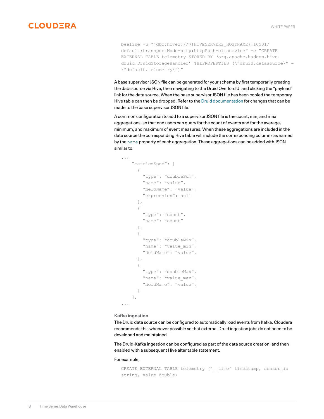<span id="page-7-0"></span>beeline -u "jdbc:hive2://\${HIVESERVER2\_HOSTNAME}:10501/ default;transportMode=http;httpPath=cliservice" -e "CREATE EXTERNAL TABLE telemetry STORED BY 'org.apache.hadoop.hive. druid.DruidStorageHandler' TBLPROPERTIES (\"druid.datasource\" = \"default.telemetry\")"

A base supervisor JSON file can be generated for your schema by first temporarily creating the data source via Hive, then navigating to the Druid Overlord UI and clicking the "payload" link for the data source. When the base supervisor JSON file has been copied the temporary Hive table can then be dropped. Refer to the [Druid documentation](https://druid.apache.org/docs/latest/ingestion/index.html) for changes that can be made to the base supervisor JSON file.

A common configuration to add to a supervisor JSON file is the count, min, and max aggregations, so that end users can query for the count of events and for the average, minimum, and maximum of event measures. When these aggregations are included in the data source the corresponding Hive table will include the corresponding columns as named by the name property of each aggregation. These aggregations can be added with JSON similar to:

```
...
     "metricsSpec": [
       {
         "type": "doubleSum",
        "name": "value",
        "fieldName": "value",
         "expression": null
       },
\{ "type": "count",
         "name": "count"
       },
\{ "type": "doubleMin",
        "name": "value min",
         "fieldName": "value",
       },
\{ "type": "doubleMax",
       "name": "value max",
         "fieldName": "value",
 }
    ],
...
```
### **Kafka ingestion**

The Druid data source can be configured to automatically load events from Kafka. Cloudera recommends this whenever possible so that external Druid ingestion jobs do not need to be developed and maintained.

The Druid-Kafka ingestion can be configured as part of the data source creation, and then enabled with a subsequent Hive alter table statement.

For example,

```
CREATE EXTERNAL TABLE telemetry (`_time` timestamp, sensor_id
string, value double)
```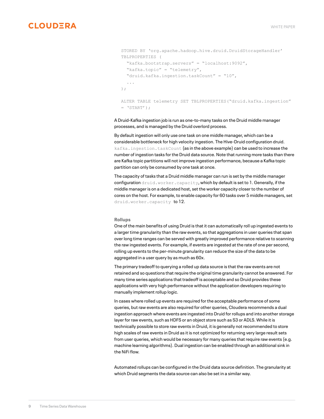```
STORED BY 'org.apache.hadoop.hive.druid.DruidStorageHandler'
TBLPROPERTIES (
  "kafka.bootstrap.servers" = "localhost:9092",
   "kafka.topic" = "telemetry",
   "druid.kafka.ingestion.taskCount" = "10",
   ...
);
ALTER TABLE telemetry SET TBLPROPERTIES("druid.kafka.ingestion" 
= 'START');
```
A Druid-Kafka ingestion job is run as one-to-many tasks on the Druid middle manager processes, and is managed by the Druid overlord process.

By default ingestion will only use one task on one middle manager, which can be a considerable bottleneck for high velocity ingestion. The Hive-Druid configuration druid. kafka.ingestion.taskCount (as in the above example) can be used to increase the number of ingestion tasks for the Druid data source. Note that running more tasks than there are Kafka topic partitions will not improve ingestion performance, because a Kafka topic partition can only be consumed by one task at once.

The capacity of tasks that a Druid middle manager can run is set by the middle manager configuration  $druid.worker.capacity$ , which by default is set to 1. Generally, if the middle manager is on a dedicated host, set the worker capacity closer to the number of cores on the host. For example, to enable capacity for 60 tasks over 5 middle managers, set druid.worker.capacity to 12.

#### **Rollups**

One of the main benefits of using Druid is that it can automatically roll up ingested events to a larger time granularity than the raw events, so that aggregations in user queries that span over long time ranges can be served with greatly improved performance relative to scanning the raw ingested events. For example, if events are ingested at the rate of one per second, rolling up events to the per-minute granularity can reduce the size of the data to be aggregated in a user query by as much as 60x.

The primary tradeoff to querying a rolled up data source is that the raw events are not retained and so questions that require the original time granularity cannot be answered. For many time series applications that tradeoff is acceptable and so Druid provides these applications with very high performance without the application developers requiring to manually implement rollup logic.

In cases where rolled up events are required for the acceptable performance of some queries, but raw events are also required for other queries, Cloudera recommends a dual ingestion approach where events are ingested into Druid for rollups and into another storage layer for raw events, such as HDFS or an object store such as S3 or ADLS. While it is technically possible to store raw events in Druid, it is generally not recommended to store high scales of raw events in Druid as it is not optimized for returning very large result sets from user queries, which would be necessary for many queries that require raw events (e.g. machine learning algorithms). Dual ingestion can be enabled through an additional sink in the NiFi flow.

Automated rollups can be configured in the Druid data source definition. The granularity at which Druid segments the data source can also be set in a similar way.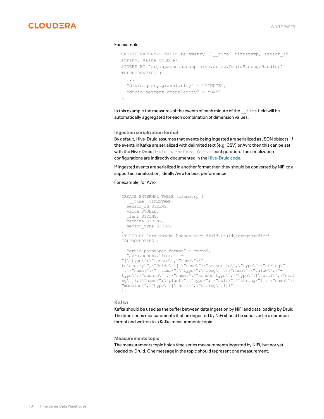#### <span id="page-9-0"></span>For example,

```
CREATE EXTERNAL TABLE telemetry (`_time` timestamp, sensor_id
string, value double)
STORED BY 'org.apache.hadoop.hive.druid.DruidStorageHandler'
TBLPROPERTIES (
   ...
   "druid.query.granularity" = "MINUTE",
   "druid.segment.granularity" = "DAY"
);
```
In this example the measures of the events of each minute of the  $t$  time field will be automatically aggregated for each combination of dimension values.

**Ingestion serialization format**

By default, Hive-Druid assumes that events being ingested are serialized as JSON objects. If the events in Kafka are serialized with delimited text (e.g. CSV) or Avro then this can be set with the Hive-Druid druid.parseSpec.format configuration. The serialization configurations are indirectly documented in the [Hive-Druid code](https://github.com/apache/hive/blob/master/druid-handler/src/java/org/apache/hadoop/hive/druid/conf/DruidConstants.java).

If ingested events are serialized in another format then they should be converted by NiFi to a supported serialization, ideally Avro for best performance.

### For example, for Avro

```
CREATE EXTERNAL TABLE telemetry (
    time` TIMESTAMP,
  sensor id STRING,
   value DOUBLE,
  plant STRING,
   machine STRING,
  sensor_type STRING
)
STORED BY 'org.apache.hadoop.hive.druid.DruidStorageHandler'
TBLPROPERTIES (
   ...
   "druid.parseSpec.format" = "avro",
   "avro.schema.literal" = 
"{\"type\":\"record\",\"name\":\"
telemetry\",\"fields\":[{\"name\":\"sensor_id\",\"type\":\"string\"
},{\"name\":\"__time\",\"type\":\"long\"},{\"name\":\"value\",\"-
type\":\"double\"},{\"name\":\"sensor_type\",\"type\":[\"null\",\"stri
ng\"]},{\"name\":\"plant\",\"type\":[\"null\",\"string\"]},{\"name\":\
\text{"machine}\\\text{''},\text{"type}\\\text{''}:\text{[\text{"null}\\\text{''},\text{"string}\\\text{''}]\});
```
### **Kafka**

Kafka should be used as the buffer between data ingestion by NiFi and data loading by Druid. The time series measurements that are ingested by NiFi should be serialized in a common format and written to a Kafka measurements topic.

**Measurements topic**

The measurements topic holds time series measurements ingested by NiFi, but not yet loaded by Druid. One message in the topic should represent one measurement.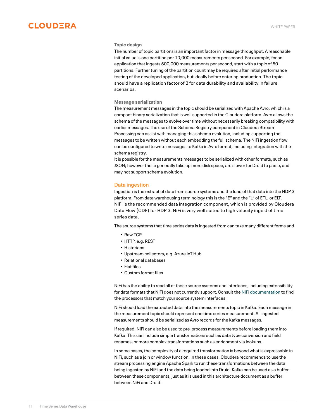### <span id="page-10-0"></span>**Topic design**

The number of topic partitions is an important factor in message throughput. A reasonable initial value is one partition per 10,000 measurements per second. For example, for an application that ingests 500,000 measurements per second, start with a topic of 50 partitions. Further tuning of the partition count may be required after initial performance testing of the developed application, but ideally before entering production. The topic should have a replication factor of 3 for data durability and availability in failure scenarios.

### **Message serialization**

The measurement messages in the topic should be serialized with Apache Avro, which is a compact binary serialization that is well supported in the Cloudera platform. Avro allows the schema of the messages to evolve over time without necessarily breaking compatibility with earlier messages. The use of the Schema Registry component in Cloudera Stream Processing can assist with managing this schema evolution, including supporting the messages to be written without each embedding the full schema. The NiFi ingestion flow can be configured to write messages to Kafka in Avro format, including integration with the schema registry.

It is possible for the measurements messages to be serialized with other formats, such as JSON; however these generally take up more disk space, are slower for Druid to parse, and may not support schema evolution.

### **Data ingestion**

Ingestion is the extract of data from source systems and the load of that data into the HDP 3 platform. From data warehousing terminology this is the "E" and the "L" of ETL, or ELT. NiFi is the recommended data integration component, which is provided by Cloudera Data Flow (CDF) for HDP 3. NiFi is very well suited to high velocity ingest of time series data.

The source systems that time series data is ingested from can take many different forms and

- Raw TCP
- HTTP, e.g. REST
- Historians
- Upstream collectors, e.g. Azure IoT Hub
- Relational databases
- Flat files
- Custom format files

NiFi has the ability to read all of these source systems and interfaces, including extensibility for data formats that NiFi does not currently support. Consult the [NiFi documentation](http://nifi.apache.org/docs/nifi-docs/html/getting-started.html#what-processors-are-available) to find the processors that match your source system interfaces.

NiFi should load the extracted data into the measurements topic in Kafka. Each message in the measurement topic should represent one time series measurement. All ingested measurements should be serialized as Avro records for the Kafka messages.

If required, NiFi can also be used to pre-process measurements before loading them into Kafka. This can include simple transformations such as data type conversion and field renames, or more complex transformations such as enrichment via lookups.

In some cases, the complexity of a required transformation is beyond what is expressable in NiFi, such as a join or window function. In these cases, Cloudera recommends to use the stream processing engine Apache Spark to run these transformations between the data being ingested by NiFi and the data being loaded into Druid. Kafka can be used as a buffer between these components, just as it is used in this architecture document as a buffer between NiFi and Druid.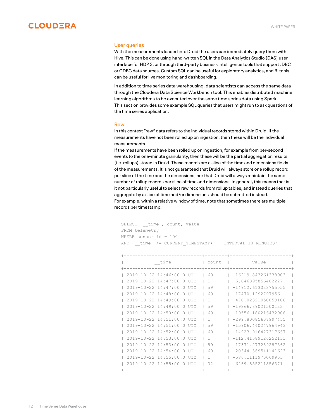<span id="page-11-0"></span>

### **User queries**

With the measurements loaded into Druid the users can immediately query them with Hive. This can be done using hand-written SQL in the Data Analytics Studio (DAS) user interface for HDP 3, or through third-party business intelligence tools that support JDBC or ODBC data sources. Custom SQL can be useful for exploratory analytics, and BI tools can be useful for live monitoring and dashboarding.

In addition to time series data warehousing, data scientists can access the same data through the Cloudera Data Science Workbench tool. This enables distributed machine learning algorithms to be executed over the same time series data using Spark. This section provides some example SQL queries that users might run to ask questions of the time series application.

#### **Raw**

In this context "raw" data refers to the individual records stored within Druid. If the measurements have not been rolled up on ingestion, then these will be the individual measurements.

If the measurements have been rolled up on ingestion, for example from per-second events to the one-minute granularity, then these will be the partial aggregation results (i.e. rollups) stored in Druid. These records are a slice of the time and dimensions fields of the measurements. It is not guaranteed that Druid will always store one rollup record per slice of the time and the dimensions, nor that Druid will always maintain the same number of rollup records per slice of time and dimensions. In general, this means that is it not particularly useful to select raw records from rollup tables, and instead queries that aggregate by a slice of time and/or dimensions should be submitted instead. For example, within a relative window of time, note that sometimes there are multiple records per timestamp:

SELECT `\_time`, count, value FROM telemetry WHERE sensor  $id = 100$ AND `\_time` >= CURRENT\_TIMESTAMP() - INTERVAL 10 MINUTES;

|  | time                              |                  | $C$ <sup>11n<math>+</math></sup> | value                 |  |
|--|-----------------------------------|------------------|----------------------------------|-----------------------|--|
|  | $2019 - 10 - 22$ $14:46:00.0$ UTC |                  | 60                               | $-16219.843261338903$ |  |
|  | $2019 - 10 - 22$ $14:47:00.0$ UTC |                  |                                  | $-6.846895856402227$  |  |
|  | $2019 - 10 - 22$ $14:47:00.0$     | TIT <sub>C</sub> | 59                               | $-14912.613028755055$ |  |
|  | $2019 - 10 - 22$ $14:48:00.0$     | TIT <sub>C</sub> | 60                               | $-17470.1292797956$   |  |
|  | $2019 - 10 - 22$ $14:49:00.0$     | <b>TITC</b>      |                                  | $-470.02321050059106$ |  |
|  | $2019 - 10 - 22$ $14:49:00.0$     | <b>TITC</b>      | 59                               | $-19866.89021500123$  |  |
|  | $2019 - 10 - 22$ $14:50:00.0$     | TIT <sub>C</sub> | 60                               | $-19556.180216432906$ |  |
|  | $2019 - 10 - 22$ $14:51:00.0$     | <b>TITIC</b>     |                                  | $-299.80085607997455$ |  |
|  | $2019 - 10 - 22$ $14:51:00.0$     | <b>TITC</b>      | 59                               | $-15906.440247964943$ |  |
|  | $2019 - 10 - 22$ $14:52:00.0$     | <b>TITC</b>      | 60                               | $-14923.916427317667$ |  |
|  | $2019 - 10 - 22$ $14:53:00.0$     | <b>TITC</b>      |                                  | $-112.41589126252131$ |  |
|  | $2019 - 10 - 22$ $14:53:00.0$     | <b>TITC</b>      | 59                               | $-17371.277289287562$ |  |
|  | $2019 - 10 - 22$ $14:54:00.0$     | <b>TITC</b>      | 60                               | $-20344.369541141623$ |  |
|  | $2019 - 10 - 22$ $14:55:00.0$     | <b>TITC</b>      |                                  | $-586.1111970069903$  |  |
|  | 2019-10-22 14:55:00.0 UTC         |                  | 32                               | $-6269.855211856371$  |  |
|  |                                   |                  |                                  |                       |  |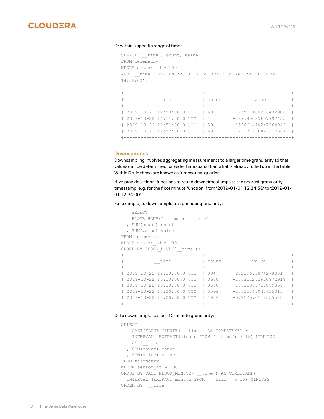<span id="page-12-0"></span>

### Or within a specific range of time:

```
SELECT ` time`, count, value
FROM telemetry
WHERE sensor id = 100AND `_time` BETWEEN '2019-10-22 14:50:00' AND '2019-10-22
14:52:00';
+----------------------------+--------+----------------------+
```

|  | ⊤ım⊖                           |  | count | value                |  |
|--|--------------------------------|--|-------|----------------------|--|
|  |                                |  |       | -+------------------ |  |
|  | 2019-10-22 14:50:00.0 UTC   60 |  |       | -19556.180216432906  |  |
|  | 2019-10-22 14:51:00.0 UTC      |  |       | -299.80085607997455  |  |
|  | 2019-10-22 14:51:00.0 UTC      |  | 1,59  | -15906.440247964943  |  |
|  | 2019-10-22 14:52:00.0 UTC      |  | - 160 | -14923.916427317667  |  |
|  |                                |  |       |                      |  |

### **Downsamples**

Downsampling involves aggregating measurements to a larger time granularity so that values can be determined for wider timespans than what is already rolled up in the table. Within Druid these are known as 'timeseries' queries.

Hive provides "floor" functions to round down timestamps to the nearest granularity timestamp, e.g. for the floor minute function, from '2019-01-01 12:34:56' to '2019-01- 01 12:34:00'.

### For example, to downsample to a per hour granularity:

```
SELECT
   FLOOR HOUR(`_time`) `_time`
  , SUM(count) count
  , SUM(value) value
FROM telemetry
WHERE sensor id = 100
GROUP BY FLOOR_HOUR(`__time`);
+----------------------------+--------+----------------------+
          | __time | count | value |
+----------------------------+--------+----------------------+
| 2019-10-22 14:00:00.0 UTC | 894 | -262296.3874278831 |
| 2019-10-22 15:00:00.0 UTC | 3600 | -1062112.2920872918 |
| 2019-10-22 16:00:00.0 UTC | 3600 | -1062137.711899869 |
| 2019-10-22 17:00:00.0 UTC | 3599 | -1061534.043815015 |
| 2019-10-22 18:00:00.0 UTC | 1954 | -577525.0118555583 |
    +----------------------------+--------+----------------------+
```
### Or to downsample to a per 15-minute granularity:

```
SELECT
  CAST(FLOOR MINUTE(` time`) AS TIMESTAMP) -
    INTERVAL (EXTRACT(minute FROM `__time`) % 15) MINUTES
   AS `_ time`
  , SUM(count) count
  , SUM(value) value
FROM telemetry
WHERE sensor id = 100
GROUP BY CAST(FLOOR MINUTE(` time`) AS TIMESTAMP) -
  INTERVAL (EXTRACT(minute FROM `__time`) % 15) MINUTES
ORDER BY `__time`;
```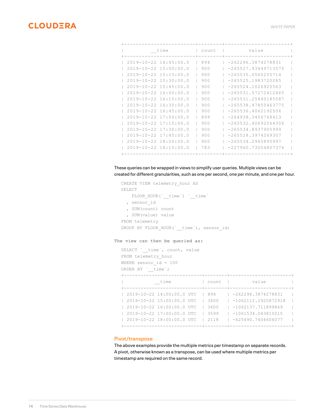<span id="page-13-0"></span>

| time                          |                               |  | count | value                 |  |
|-------------------------------|-------------------------------|--|-------|-----------------------|--|
|                               |                               |  |       |                       |  |
|                               | $2019 - 10 - 22$ $14:45:00.0$ |  | 894   | $-262296.3874278831$  |  |
| $2019 - 10 - 22$ $15:00:00.0$ |                               |  | 900   | $-265527.93449713575$ |  |
| $2019 - 10 - 22$ $15:15:00.0$ |                               |  | 900   | $-265535.0565255714$  |  |
| $2019 - 10 - 22$ $15:30:00.0$ |                               |  | 900   | $-265525.1983720285$  |  |
| $2019 - 10 - 22$ $15:45:00.0$ |                               |  | 900   | $-265524.1026925563$  |  |
| $2019 - 10 - 22$ 16:00:00.0   |                               |  | 900   | $-265531.57272412465$ |  |
| $2019 - 10 - 22$ $16:15:00.0$ |                               |  | 900   | $-265531.25440185587$ |  |
| $2019 - 10 - 22$ $16:30:00.0$ |                               |  | 900   | $-265538.47855463775$ |  |
| $2019 - 10 - 22$ 16:45:00.0   |                               |  | 900   | $-265536.4062192506$  |  |
| $2019 - 10 - 22$ $17:00:00.0$ |                               |  | 899   | $-264938.3456768413$  |  |
| $2019 - 10 - 22$ $17:15:00.0$ |                               |  | 900   | $-265532.40692064306$ |  |
| $2019 - 10 - 22$ $17:30:00.0$ |                               |  | 900   | $-265534.8937905999$  |  |
| $2019 - 10 - 22$ $17:45:00.0$ |                               |  | 900   | $-265528.3974269307$  |  |
| $2019 - 10 - 22$ 18:00:00.0   |                               |  | 900   | $-265534.2945895997$  |  |
|                               | $2019 - 10 - 22$ $18:15:00.0$ |  | 783   | $-227960.73054807374$ |  |
|                               |                               |  |       |                       |  |

These queries can be wrapped in views to simplify user queries. Multiple views can be created for different granularities, such as one per second, one per minute, and one per hour.

```
CREATE VIEW telemetry_hour AS
SELECT 
   FLOOR_HOUR(`_time`) `_time`
  , sensor_id
  , SUM(count) count
  , SUM(value) value
FROM telemetry
GROUP BY FLOOR_HOUR(`__time`), sensor_id;
```
### The view can then be queried as:

```
SELECT ` time', count, value
FROM telemetry hour
WHERE sensor id = 100ORDER BY `_time`;
```

|  | time                      | count | value<br>------------------ |  |
|--|---------------------------|-------|-----------------------------|--|
|  | 2019-10-22 14:00:00.0 UTC | 894   | -262296.3874278831          |  |
|  |                           |       |                             |  |
|  | 2019-10-22 15:00:00.0 UTC | 3600  | -1062112.2920872918         |  |
|  | 2019-10-22 16:00:00.0 UTC | 3600  | -1062137.711899869          |  |
|  | 2019-10-22 17:00:00.0 UTC | 3599  | -1061534.043815015          |  |
|  | 2019-10-22 18:00:00.0 UTC | 2118  | $-625490.7404606077$        |  |
|  |                           |       |                             |  |

### **Pivot/transpose**

The above examples provide the multiple metrics per timestamp on separate records. A pivot, otherwise known as a transpose, can be used where multiple metrics per timestamp are required on the same record.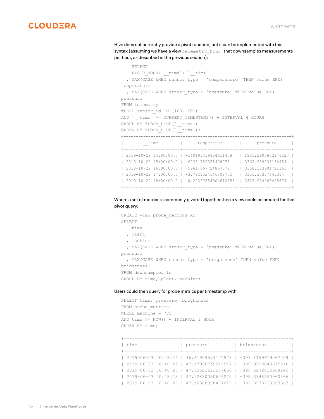Hive does not currently provide a pivot function, but it can be implemented with this syntax (assuming we have a view  $t$ elemetry hour that downsamples measurements per hour, as described in the previous section):

```
 SELECT
   FLOOR HOUR(`_time`) `_time`
  , MAX(CASE WHEN sensor type = 'temperature' THEN value END)
temperature
 , MAX(CASE WHEN sensor type = 'pressure' THEN value END)
pressure
FROM telemetry
WHERE sensor id IN (100, 101)
AND `__time` >= CURRENT_TIMESTAMP() - INTERVAL 4 HOURS
GROUP BY FLOOR_HOUR(`__time`)
ORDER BY FLOOR HOUR(`_time`);
+-----------------------+-----------------------+--------------------+
                     | temperature | pressure |
+-----------------------+-----------------------+--------------------+
| 2019-10-22 14:00:00.0 | -14919.459924611458 | 1901.2905602971227 |
| 2019-10-22 15:00:00.0 | -6035.789051408976 | 3362.989233184454 |
| 2019-10-22 16:00:00.0 | -5961.867724867079 | 3358.183901721163 |
| 2019-10-22 17:00:00.0 | -3.7921024546802755 | 3353.33377443314 |
| 2019-10-22 18:00:00.0 | -0.22397884804610158 | 3322.994063408674 |
+-----------------------+-----------------------+--------------------+
```
### Where a set of metrics is commonly pivoted together then a view could be created for that pivot query:

```
CREATE VIEW probe metrics AS
SELECT
    time
   , plant
   , machine
  , MAX(CASE WHEN sensor type = 'pressure' THEN value END)
pressure
  , MAX(CASE WHEN sensor type = 'brightness' THEN value END)
brightness
FROM downsampled_1s
GROUP BY time, plant, machine;
```
#### Users could then query for probe metrics per timestamp with:

```
SELECT time, pressure, brightness
FROM probe metrics
WHERE machine = 705
AND time >= NOW() - INTERVAL 1 HOUR
ORDER BY time;
```
+---------------------+-------------------+--------------------+ | time | pressure | brightness | +---------------------+-------------------+--------------------+ | 2019-06-03 00:48:24 | 46.31959579101573 | -399.1159619067209 | | 2019-06-03 00:48:25 | 47.17996759211917 | -399.9728049675076 | | 2019-06-03 00:48:26 | 47.73523223287668 | -399.6272832668245 | | 2019-06-03 00:48:28 | 47.92830080609275 | -395.3348250960566 | | 2019-06-03 00:48:29 | 47.56588908407019 | -391.3973229393663 |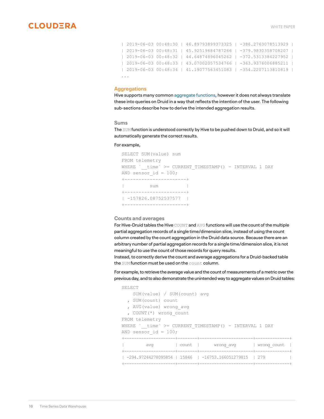```
| 2019-06-03 00:48:30 | 46.89793899373325 | -386.2763078513929 |
| 2019-06-03 00:48:31 | 45.92519684787266 | -379.9830358708207 |
| 2019-06-03 00:48:32 | 44.64874896045262 | -372.5313384227952 |
| 2019-06-03 00:48:33 | 43.07002057534766 | -363.9376006885211 |
| 2019-06-03 00:48:34 | 41.19077563451083 | -354.2207113810819 |
...
```
### **Aggregations**

Hive supports many common [aggregate functions](https://cwiki.apache.org/confluence/display/Hive/LanguageManual+UDF#LanguageManualUDF-Built-inAggregateFunctions(UDAF)), however it does not always translate these into queries on Druid in a way that reflects the intention of the user. The following sub-sections describe how to derive the intended aggregation results.

#### **Sums**

The SUM function is understood correctly by Hive to be pushed down to Druid, and so it will automatically generate the correct results.

### For example,

```
SELECT SUM(value) sum
FROM telemetry
WHERE `__time` >= CURRENT_TIMESTAMP() - INTERVAL 1 DAY
AND sensor id = 100;+----------------------+
| sum |
+----------------------+
| -157826.08752537577 |
+----------------------+
```
### **Counts and averages**

For Hive-Druid tables the Hive COUNT and AVG functions will use the count of the multiple partial aggregation records of a single time/dimension slice, instead of using the count column created by the count aggregation in the Druid data source. Because there are an arbitrary number of partial aggregation records for a single time/dimension slice, it is not meaningful to use the count of those records for query results.

Instead, to correctly derive the count and average aggregations for a Druid-backed table the SUM function must be used on the count column.

For example, to retrieve the average value and the count of measurements of a metric over the previous day, and to also demonstrate the unintended way to aggregate values on Druid tables:

```
SELECT
   SUM(value) / SUM(count) avg
   , SUM(count) count
   , AVG(value) wrong_avg
   , COUNT(*) wrong_count
FROM telemetry
WHERE `__time` >= CURRENT_TIMESTAMP() - INTERVAL 1 DAY
AND sensor id = 100;
+---------------------+--------+----------------------+--------------+
        avg | count | wrong_avg | wrong_count |
+---------------------+--------+----------------------+--------------+
| -294.97244278095854 | 15846 | -16753.166051279815 | 279 |
+---------------------+--------+----------------------+--------------+
```